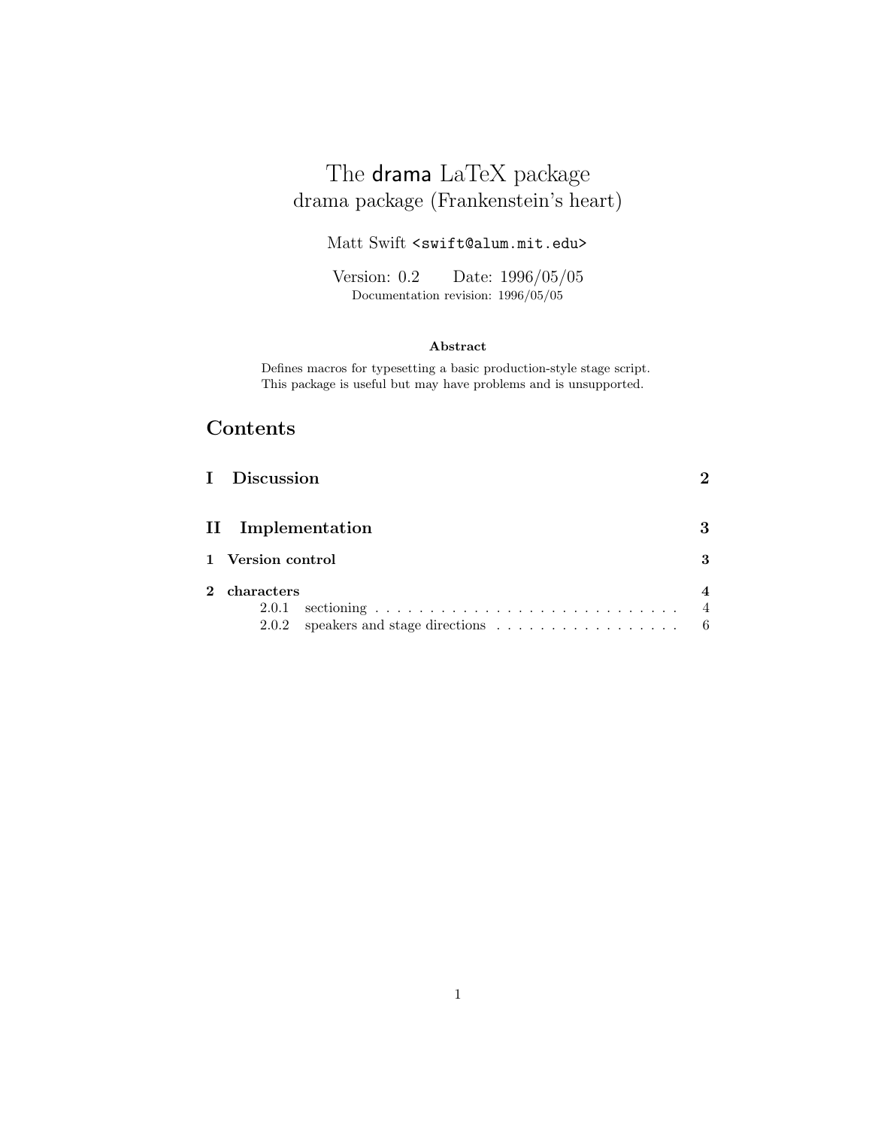# The drama LaTeX package drama package (Frankenstein's heart)

Matt Swift <swift@alum.mit.edu>

Version: 0.2 Date: 1996/05/05 Documentation revision: 1996/05/05

## **Abstract**

Defines macros for typesetting a basic production-style stage script. This package is useful but may have problems and is unsupported.

# **Contents**

|              | I Discussion                                                                                    |                       |
|--------------|-------------------------------------------------------------------------------------------------|-----------------------|
|              | II Implementation                                                                               | 3                     |
|              | 1 Version control                                                                               | 3                     |
| $\mathbf{2}$ | characters<br>2.0.1<br>2.0.2 speakers and stage directions $\ldots \ldots \ldots \ldots \ldots$ | $\overline{4}$<br>- 6 |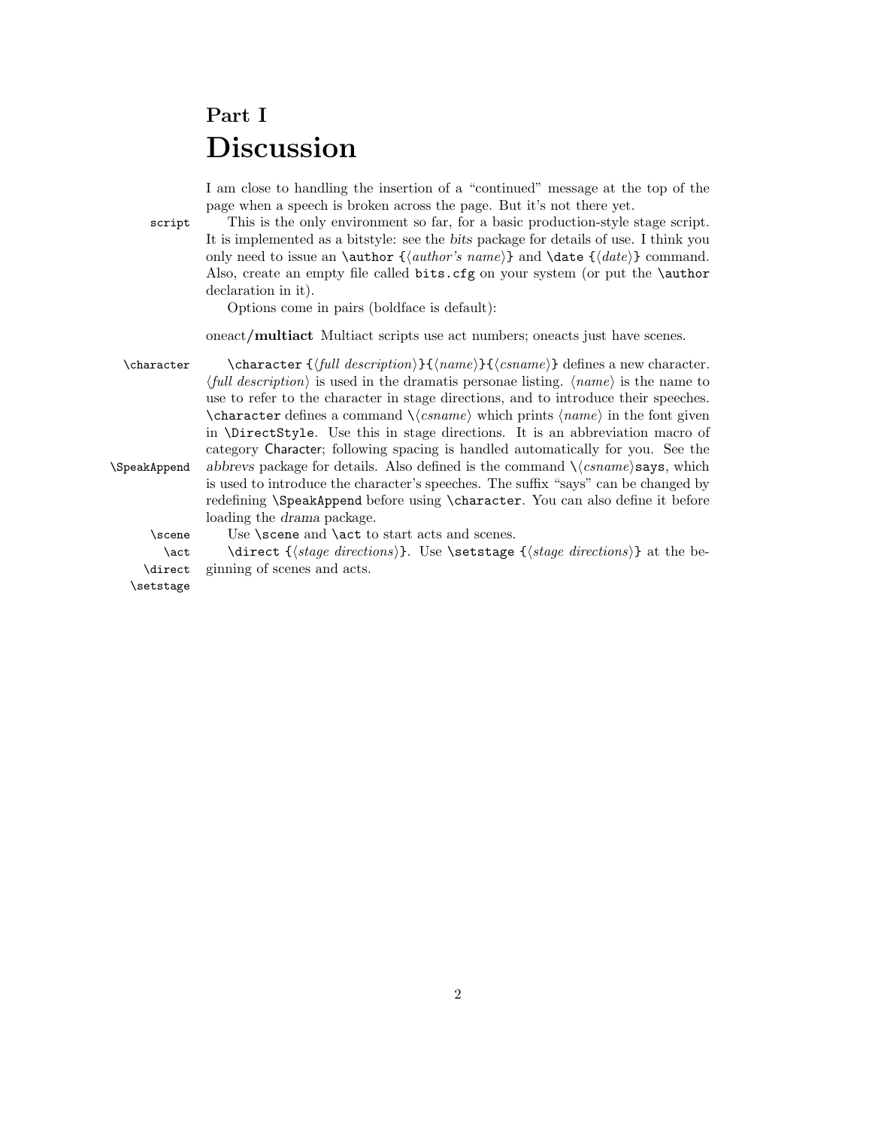# **Part I Discussion**

I am close to handling the insertion of a "continued" message at the top of the page when a speech is broken across the page. But it's not there yet.

script This is the only environment so far, for a basic production-style stage script. It is implemented as a bitstyle: see the *bits* package for details of use. I think you only need to issue an **\author**  $\{\langle author\delta\ name\rangle\}$  and **\date**  $\{\langle date\rangle\}$  command. Also, create an empty file called bits.cfg on your system (or put the \author declaration in it).

Options come in pairs (boldface is default):

oneact**/multiact** Multiact scripts use act numbers; oneacts just have scenes.

\character \character {\full description\} {\ame\} {\csname\} defines a new character.  $\langle full\ description \rangle$  is used in the dramatis personae listing.  $\langle name \rangle$  is the name to use to refer to the character in stage directions, and to introduce their speeches. \character defines a command  $\langle$ *csname* $\rangle$  which prints  $\langle name \rangle$  in the font given in \DirectStyle. Use this in stage directions. It is an abbreviation macro of category Character; following spacing is handled automatically for you. See the \SpeakAppend *abbrevs* package for details. Also defined is the command  $\langle \cos name \rangle$ says, which is used to introduce the character's speeches. The suffix "says" can be changed by redefining \SpeakAppend before using \character. You can also define it before loading the *drama* package.

\scene Use \scene and \act to start acts and scenes.

\act \direct {\stage directions}}. Use \setstage {\stage directions}} at the be-\direct ginning of scenes and acts.

\setstage

2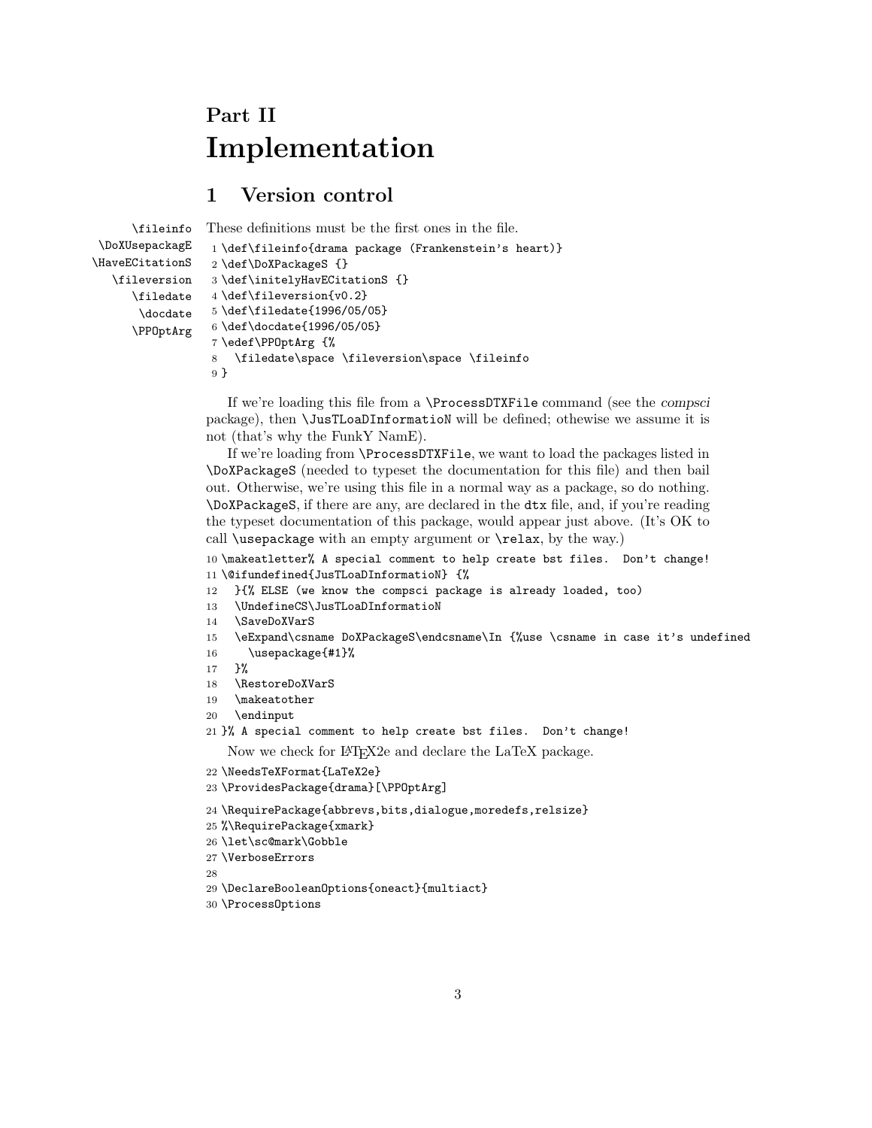# **Part II Implementation**

# **1 Version control**

```
\fileinfo
\DoXUsepackagE
\HaveECitationS
  \fileversion
     \filedate
       \docdate
      \PPOptArg
                 These definitions must be the first ones in the file.
                  1 \def\fileinfo{drama package (Frankenstein's heart)}
                  2 \def\DoXPackageS {}
                 3 \def\initelyHavECitationS {}
                 4 \def\fileversion{v0.2}
                  5 \def\filedate{1996/05/05}
                  6 \def\docdate{1996/05/05}
                  7 \edef\PPOptArg {%
                  8 \filedate\space \fileversion\space \fileinfo
                  9 }
```
If we're loading this file from a \ProcessDTXFile command (see the *compsci* package), then \JusTLoaDInformatioN will be defined; othewise we assume it is not (that's why the FunkY NamE).

If we're loading from \ProcessDTXFile, we want to load the packages listed in \DoXPackageS (needed to typeset the documentation for this file) and then bail out. Otherwise, we're using this file in a normal way as a package, so do nothing. \DoXPackageS, if there are any, are declared in the dtx file, and, if you're reading the typeset documentation of this package, would appear just above. (It's OK to call \usepackage with an empty argument or \relax, by the way.)

10 \makeatletter% A special comment to help create bst files. Don't change! 11 \@ifundefined{JusTLoaDInformatioN} {%

- 12 }{% ELSE (we know the compsci package is already loaded, too)
- 13 \UndefineCS\JusTLoaDInformatioN
- 14 \SaveDoXVarS
- 15 \eExpand\csname DoXPackageS\endcsname\In {%use \csname in case it's undefined
- 16 \usepackage{#1}%
- 17 }%
- 18 \RestoreDoXVarS
- 19 \makeatother
- 20 \endinput
- 21 }% A special comment to help create bst files. Don't change!

Now we check for LAT<sub>E</sub>X2e and declare the LaTeX package.

- 22 \NeedsTeXFormat{LaTeX2e}
- 23 \ProvidesPackage{drama}[\PPOptArg]
- 24 \RequirePackage{abbrevs,bits,dialogue,moredefs,relsize}
- 25 %\RequirePackage{xmark}
- 26 \let\sc@mark\Gobble
- 27 \VerboseErrors

28

- 29 \DeclareBooleanOptions{oneact}{multiact}
- 30 \ProcessOptions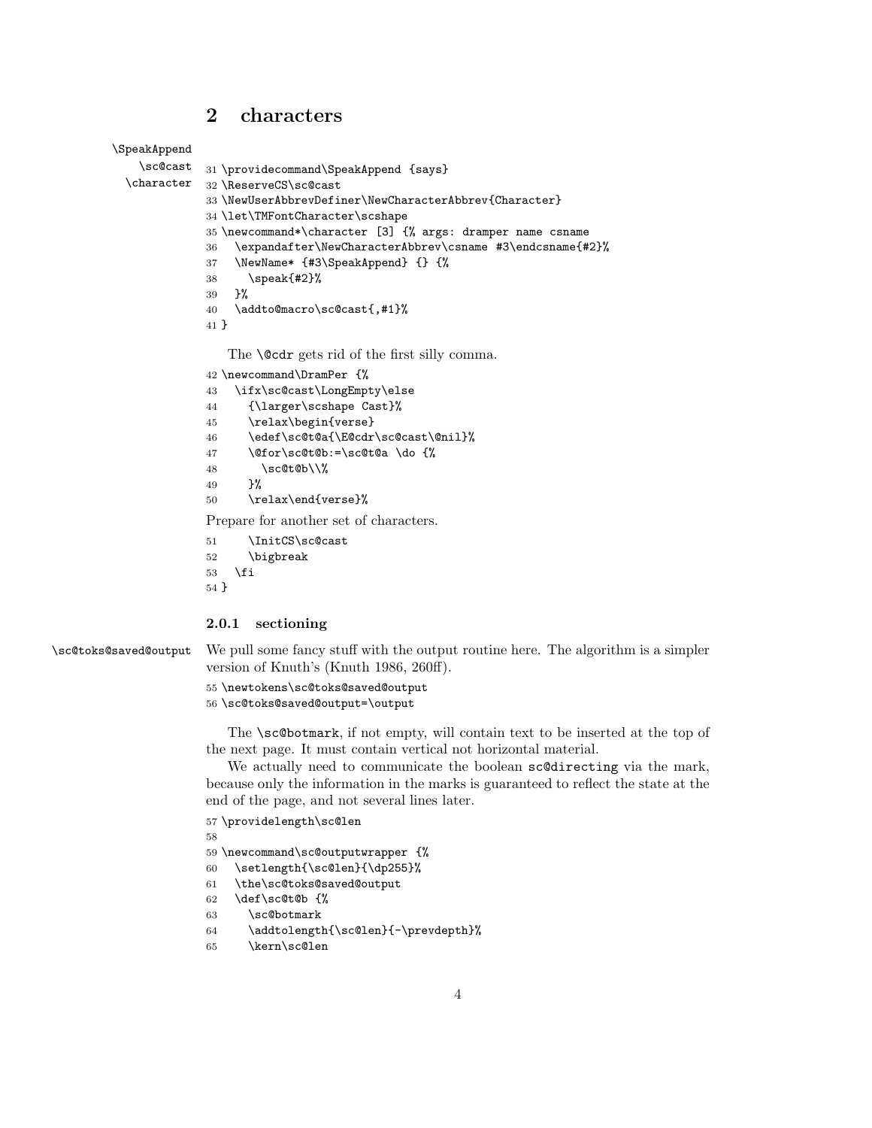# **2 characters**

```
\SpeakAppend
```

```
\sc@cast
\character
            31 \providecommand\SpeakAppend {says}
            32 \ReserveCS\sc@cast
            33 \NewUserAbbrevDefiner\NewCharacterAbbrev{Character}
            34 \let\TMFontCharacter\scshape
            35 \newcommand*\character [3] {% args: dramper name csname
            36 \expandafter\NewCharacterAbbrev\csname #3\endcsname{#2}%
            37 \NewName* {#3\SpeakAppend} {} {%
            38 \speak{#2}%
            39 }%
            40 \addto@macro\sc@cast{,#1}%
            41 }
```
The **\@cdr** gets rid of the first silly comma.

```
42 \newcommand\DramPer {%
```

```
43 \ifx\sc@cast\LongEmpty\else
44 {\larger\scshape Cast}%
45 \relax\begin{verse}
46 \edef\sc@t@a{\E@cdr\sc@cast\@nil}%
47 \@for\sc@t@b:=\sc@t@a \do {%
48 \sc@t@b\\%
49 }%
50 \relax\end{verse}%
```
Prepare for another set of characters.

```
51 \InitCS\sc@cast
```
 \bigbreak \fi

}

### **2.0.1 sectioning**

\sc@toks@saved@output We pull some fancy stuff with the output routine here. The algorithm is a simpler version of Knuth's (Knuth 1986, 260ff).

\newtokens\sc@toks@saved@output

```
56 \sc@toks@saved@output=\output
```
The \sc@botmark, if not empty, will contain text to be inserted at the top of the next page. It must contain vertical not horizontal material.

We actually need to communicate the boolean sc@directing via the mark, because only the information in the marks is guaranteed to reflect the state at the end of the page, and not several lines later.

```
57 \providelength\sc@len
```
- \newcommand\sc@outputwrapper {%
- \setlength{\sc@len}{\dp255}%
- \the\sc@toks@saved@output
- \def\sc@t@b {%
- \sc@botmark
- \addtolength{\sc@len}{-\prevdepth}%
- \kern\sc@len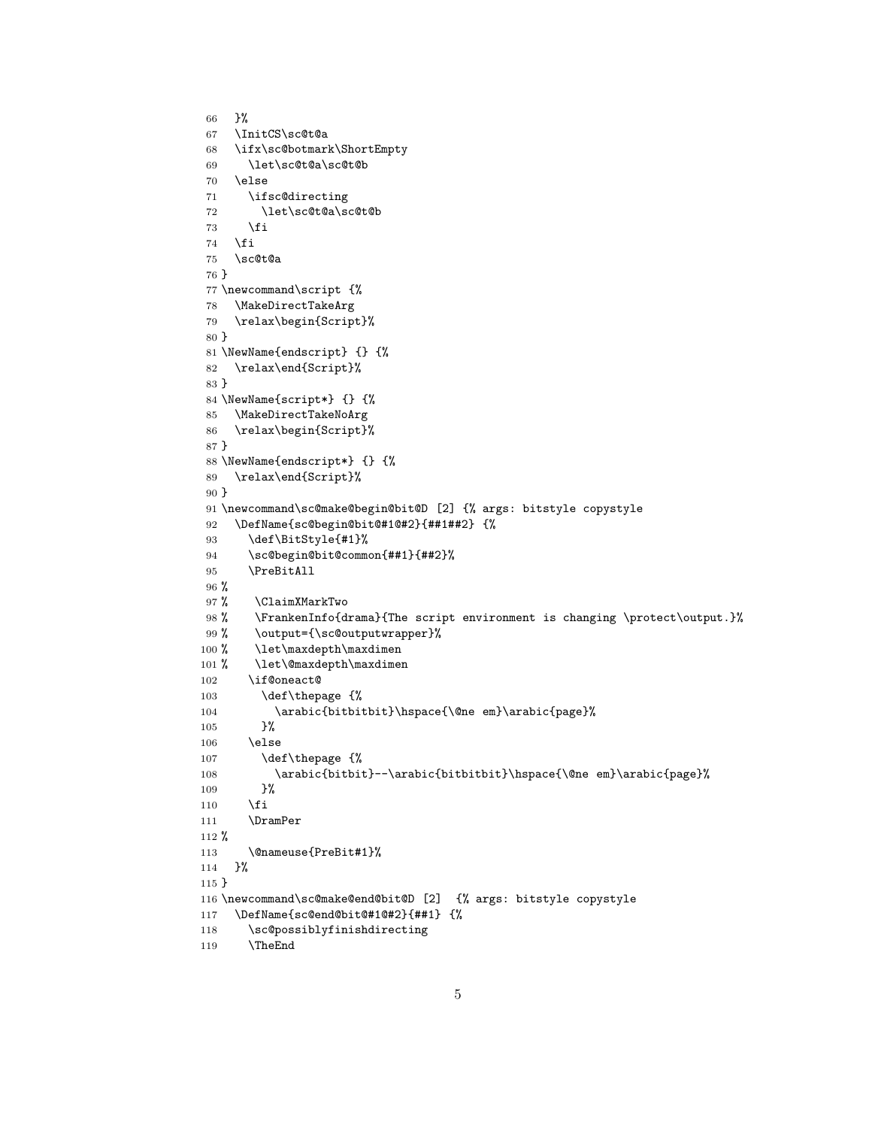```
66 }%
67 \InitCS\sc@t@a
68 \ifx\sc@botmark\ShortEmpty
69 \let\sc@t@a\sc@t@b
70 \else
71 \ifsc@directing
72 \let\sc@t@a\sc@t@b
73 \overrightarrow{fi}74 \overline{f}75 \sc@t@a
76 }
77 \newcommand\script {%
78 \MakeDirectTakeArg
79 \relax\begin{Script}%
80 }
81 \NewName{endscript} {} {%
82 \relax\end{Script}%
83 }
84 \NewName{script*} {} {%
85 \MakeDirectTakeNoArg
86 \relax\begin{Script}%
87 }
88 \NewName{endscript*} {} {%
89 \relax\end{Script}%
90 }
91 \newcommand\sc@make@begin@bit@D [2] {% args: bitstyle copystyle
92 \DefName{sc@begin@bit@#1@#2}{##1##2} {%
93 \def\BitStyle{#1}%
94 \sc@begin@bit@common{##1}{##2}%
95 \PreBitAll
96 %
97 % \ClaimXMarkTwo
98 % \FrankenInfo{drama}{The script environment is changing \protect\output.}%
99 % \output={\sc@outputwrapper}%
100 % \let\maxdepth\maxdimen
101 % \let\@maxdepth\maxdimen
102 \if@oneact@
103 \def\thepage {%
104 \arabic{bitbitbit}\hspace{\@ne em}\arabic{page}%
105 }%
106 \else
107 \def\thepage {%
108 \arabic{bitbit}--\arabic{bitbitbit}\hspace{\@ne em}\arabic{page}%
109 }%
110 \fi
111 \DramPer
112 %
113 \@nameuse{PreBit#1}%
114 }%
115 }
116 \newcommand\sc@make@end@bit@D [2] {% args: bitstyle copystyle
117 \DefName{sc@end@bit@#1@#2}{##1} {%
118 \sc@possiblyfinishdirecting
119 \TheEnd
```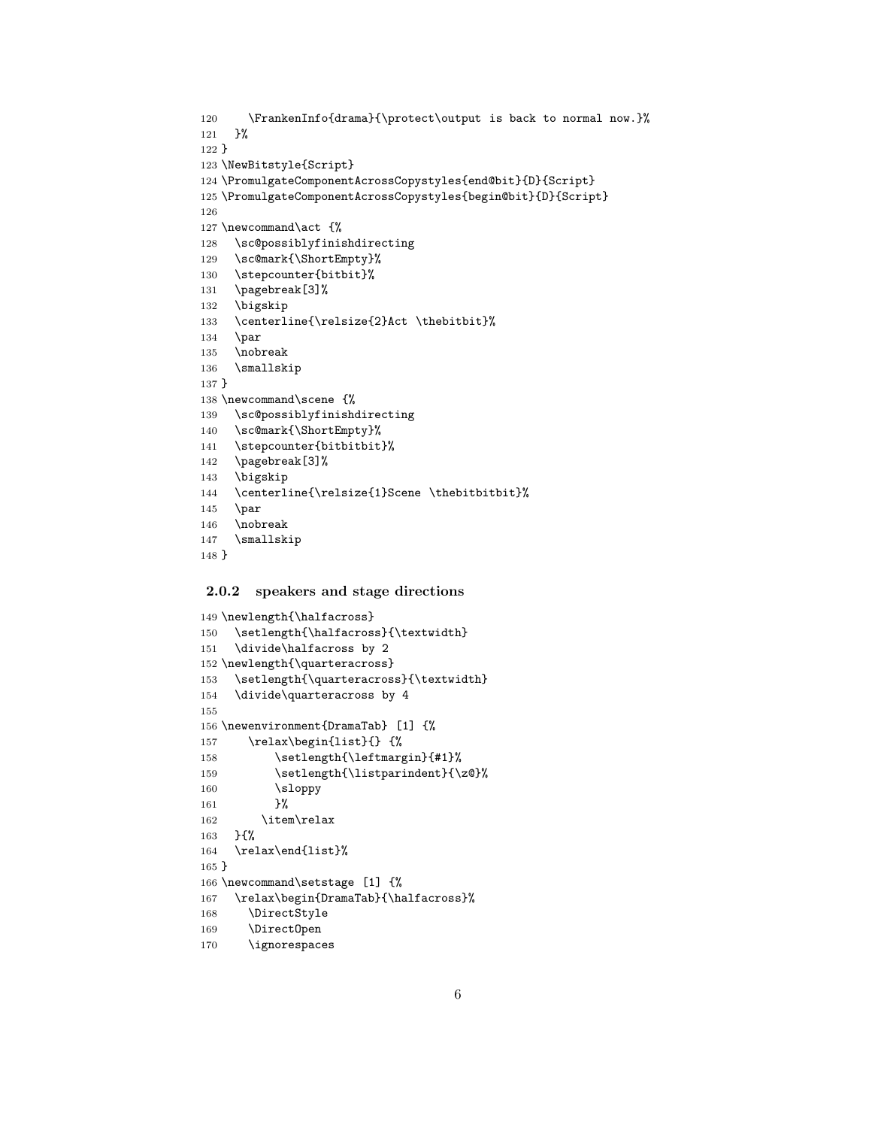```
120 \FrankenInfo{drama}{\protect\output is back to normal now.}%
121 }%
122 }
123 \NewBitstyle{Script}
124 \PromulgateComponentAcrossCopystyles{end@bit}{D}{Script}
125 \PromulgateComponentAcrossCopystyles{begin@bit}{D}{Script}
126
127 \newcommand\act {%
128 \sc@possiblyfinishdirecting
129 \sc@mark{\ShortEmpty}%
130 \stepcounter{bitbit}%
131 \pagebreak[3]%
132 \bigskip
133 \centerline{\relsize{2}Act \thebitbit}%
134 \par
135 \nobreak
136 \smallskip
137 }
138 \newcommand\scene {%
139 \sc@possiblyfinishdirecting
140 \sc@mark{\ShortEmpty}%
141 \stepcounter{bitbitbit}%
142 \pagebreak[3]%
143 \bigskip
144 \centerline{\relsize{1}Scene \thebitbitbit}%
145 \par
146 \nobreak
147 \smallskip
148 }
```
## **2.0.2 speakers and stage directions**

```
149 \newlength{\halfacross}
150 \setlength{\halfacross}{\textwidth}
151 \divide\halfacross by 2
152 \newlength{\quarteracross}
153 \setlength{\quarteracross}{\textwidth}
154 \divide\quarteracross by 4
155
156 \newenvironment{DramaTab} [1] {%
157 \relax\begin{list}{} {%
158 \setlength{\leftmargin}{#1}%
159 \setlength{\listparindent}{\z@}%
160 \sloppy
161    }%
162 \item\relax
163 }{%
164 \relax\end{list}%
165 }
166 \newcommand\setstage [1] {%
167 \relax\begin{DramaTab}{\halfacross}%
168 \DirectStyle
169 \DirectOpen
170 \ignorespaces
```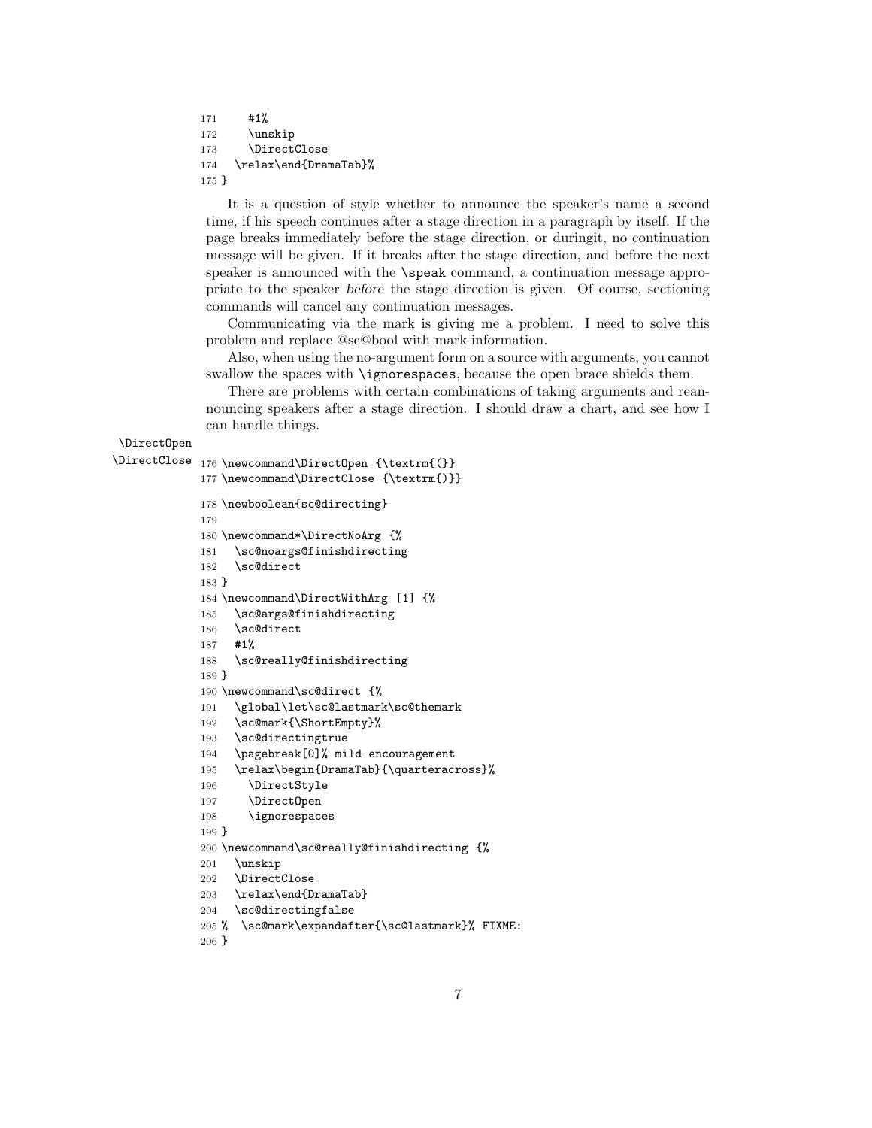```
171 #1%
172 \unskip
173 \DirectClose
174 \relax\end{DramaTab}%
175 }
```
It is a question of style whether to announce the speaker's name a second time, if his speech continues after a stage direction in a paragraph by itself. If the page breaks immediately before the stage direction, or duringit, no continuation message will be given. If it breaks after the stage direction, and before the next speaker is announced with the \speak command, a continuation message appropriate to the speaker *before* the stage direction is given. Of course, sectioning commands will cancel any continuation messages.

Communicating via the mark is giving me a problem. I need to solve this problem and replace @sc@bool with mark information.

Also, when using the no-argument form on a source with arguments, you cannot swallow the spaces with \ignorespaces, because the open brace shields them.

There are problems with certain combinations of taking arguments and reannouncing speakers after a stage direction. I should draw a chart, and see how I can handle things.

## \DirectOpen

```
\DirectClose 176 \newcommand\DirectOpen {\textrm{(}}
```

```
177 \newcommand\DirectClose {\textrm{)}}
178 \newboolean{sc@directing}
179
180 \newcommand*\DirectNoArg {%
181 \sc@noargs@finishdirecting
182 \sc@direct
183 }
184 \newcommand\DirectWithArg [1] {%
185 \sc@args@finishdirecting
186 \sc@direct
187 #1%
188 \sc@really@finishdirecting
189 }
190 \newcommand\sc@direct {%
191 \global\let\sc@lastmark\sc@themark
192 \sc@mark{\ShortEmpty}%
193 \sc@directingtrue
194 \pagebreak[0]% mild encouragement
195 \relax\begin{DramaTab}{\quarteracross}%
196 \DirectStyle
197 \DirectOpen
198 \ignorespaces
199 }
200 \newcommand\sc@really@finishdirecting {%
201 \unskip
202 \DirectClose
203 \relax\end{DramaTab}
204 \sc@directingfalse
205 % \sc@mark\expandafter{\sc@lastmark}% FIXME:
206 }
```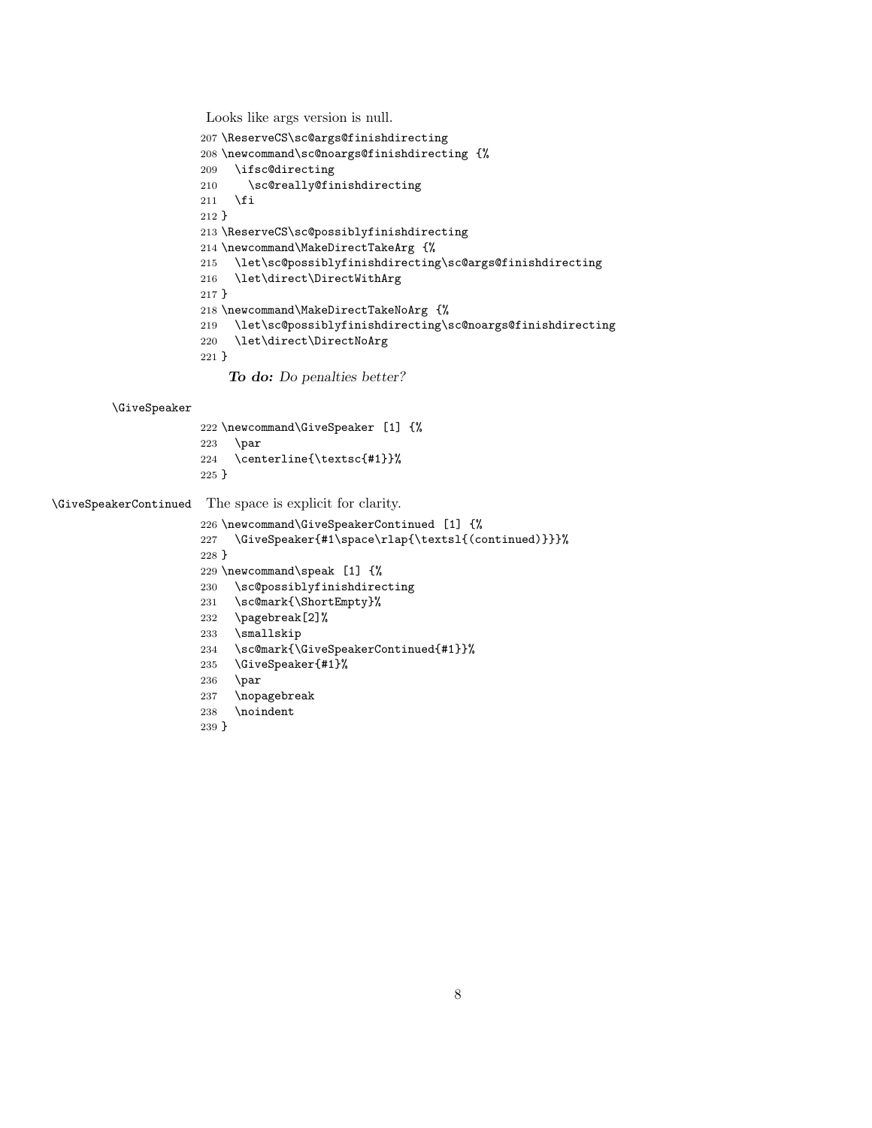Looks like args version is null.

```
207 \ReserveCS\sc@args@finishdirecting
208 \newcommand\sc@noargs@finishdirecting {%
209 \ifsc@directing
210 \sc@really@finishdirecting
211 \fi
212 }
213 \ReserveCS\sc@possiblyfinishdirecting
214 \newcommand\MakeDirectTakeArg {%
215 \let\sc@possiblyfinishdirecting\sc@args@finishdirecting
216 \let\direct\DirectWithArg
217 }
218 \newcommand\MakeDirectTakeNoArg {%
219 \let\sc@possiblyfinishdirecting\sc@noargs@finishdirecting
220 \let\direct\DirectNoArg
221 }
```
*To do: Do penalties better?*

#### \GiveSpeaker

```
222 \newcommand\GiveSpeaker [1] {%
223 \par
224 \centerline{\textsc{#1}}%
225 }
```
\GiveSpeakerContinued The space is explicit for clarity.

```
226 \newcommand\GiveSpeakerContinued [1] {%
227 \GiveSpeaker{#1\space\rlap{\textsl{(continued)}}}%
228 }
229 \newcommand\speak [1] {%
230 \sc@possiblyfinishdirecting
231 \sc@mark{\ShortEmpty}%
232 \pagebreak[2]%
233 \smallskip
234 \sc@mark{\GiveSpeakerContinued{#1}}%
235 \GiveSpeaker{#1}%
236 \par
237 \nopagebreak
238 \noindent
239 }
```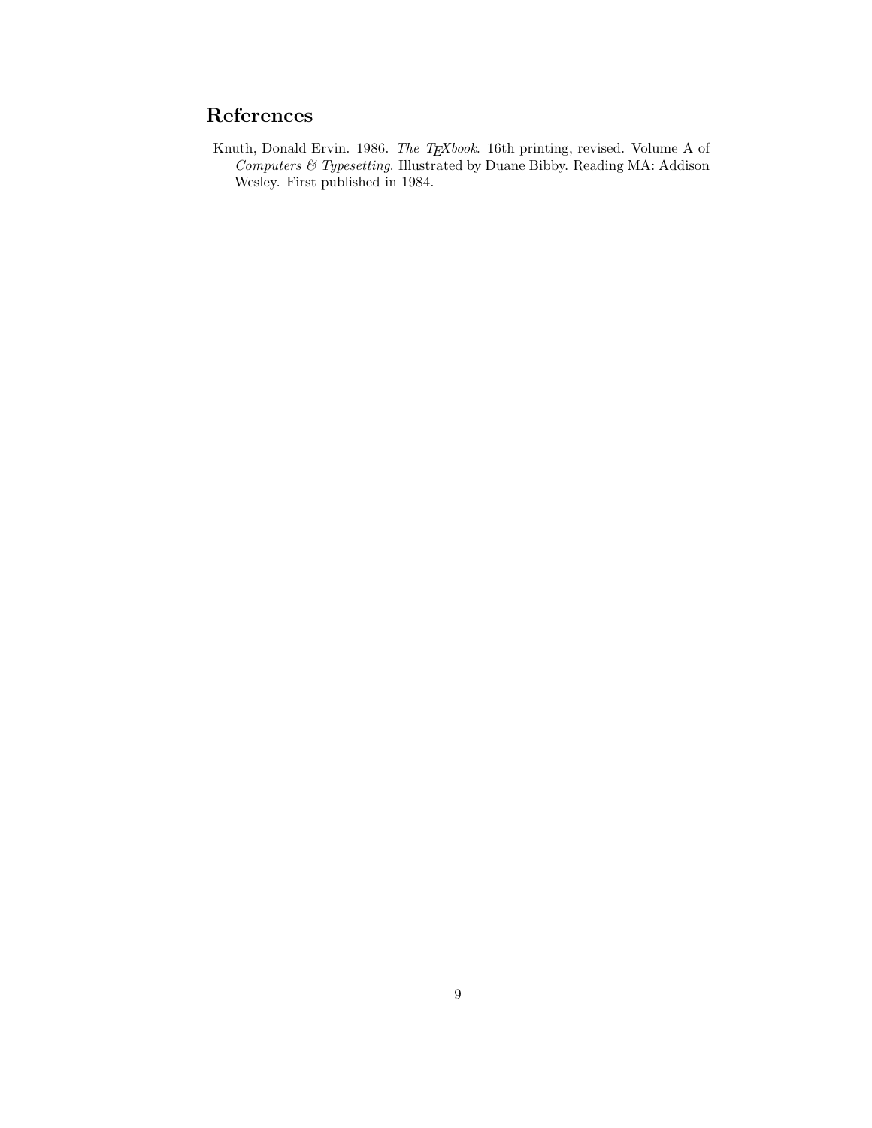# **References**

Knuth, Donald Ervin. 1986. *The TEXbook*. 16th printing, revised. Volume A of *Computers & Typesetting*. Illustrated by Duane Bibby. Reading MA: Addison Wesley. First published in 1984.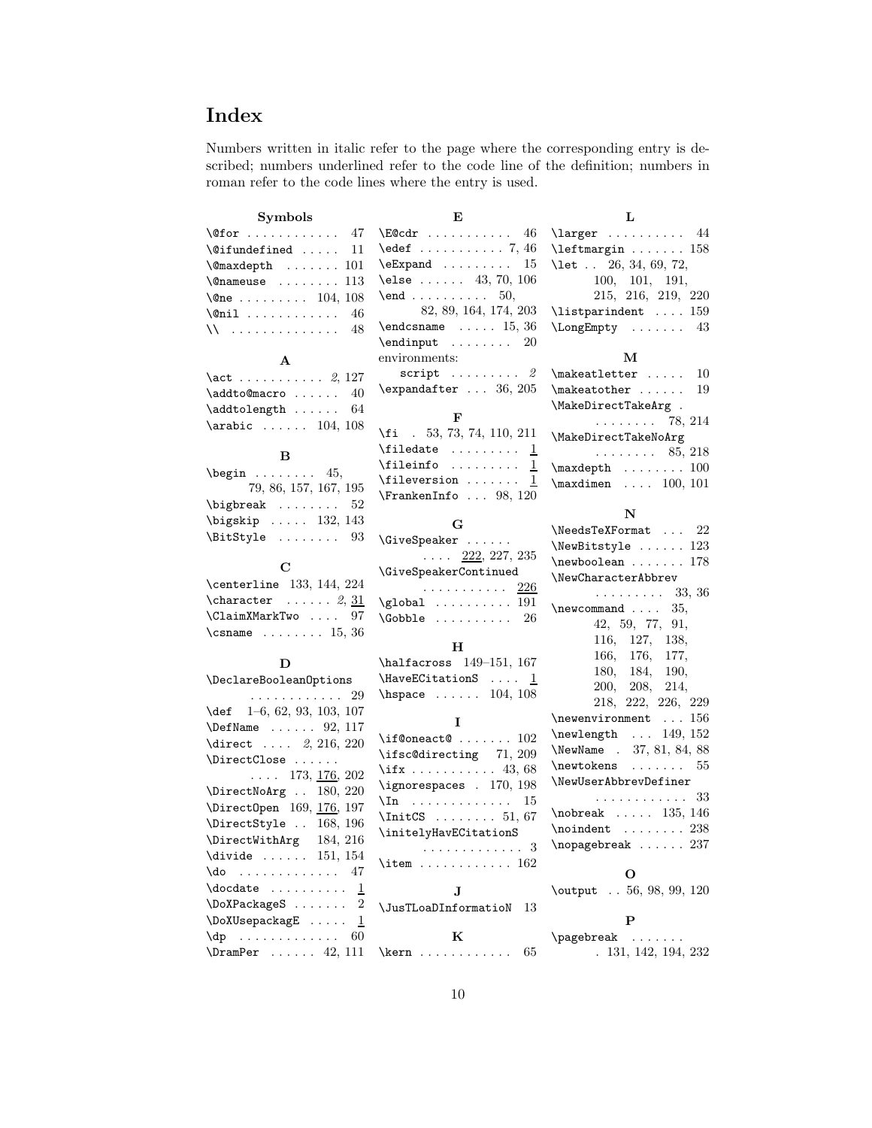# **Index**

Numbers written in italic refer to the page where the corresponding entry is described; numbers underlined refer to the code line of the definition; numbers in roman refer to the code lines where the entry is used.

**E**

#### **Symbols**

| $\sqrt{9}$ for  47                               | \E@cdr               |
|--------------------------------------------------|----------------------|
| $\text{^\{0}$ ifundefined  11                    | \edef .              |
| $\mathrm{\&}$ maxdepth $\ldots \ldots \cdot 101$ | \eExpand             |
| $\{\n$ enameuse  113                             | \else.               |
| \@ne 104, 108                                    | $\endots$ .          |
| $\text{Onil} \dots \dots \dots \quad 46$         | 8                    |
| $\lambda$ 48                                     | \endcsna             |
|                                                  | \endinpt             |
| $\mathbf{A}$                                     | environn             |
| $\act \dots \dots \dots 2, 127$                  | scri                 |
| $\addto \mathbb{C}$ 40                           | \expanda             |
| $\addtolength   64$                              |                      |
| $\arabic   104, 108$                             | $\overline{ii}$ .    |
| в                                                | \filedat             |
|                                                  | \fileini             |
| $\begin{bmatrix} 45, 45 \end{bmatrix}$           |                      |
| 79, 86, 157, 167, 195                            | \fileve <sub>1</sub> |

| 79, 86, 157, 167, 195                  |
|----------------------------------------|
| $\big\{\n  bigbreak\n  52\n$           |
| $\big\{\n  bigskip \ldots 132, 143\n $ |
| . 93<br>\BitStyle                      |

#### **C**

| \centerline 133, 144, 224      |  |  |
|--------------------------------|--|--|
| $\text{character} \dots 2, 31$ |  |  |
| \ClaimXMarkTwo  97             |  |  |
| \csname $15, 36$               |  |  |

#### **D**

| \DeclareBooleanOptions             |  |  |
|------------------------------------|--|--|
| . 29                               |  |  |
| $\text{def}$ 1-6, 62, 93, 103, 107 |  |  |
| \DefName  92, 117                  |  |  |
| \direct $2, 216, 220$              |  |  |
| \DirectClose                       |  |  |
| $\ldots$ 173, <u>176</u> , 202     |  |  |
| \DirectNoArg  180, 220             |  |  |
| \DirectOpen 169, 176, 197          |  |  |
| \DirectStyle  168, 196             |  |  |
| \DirectWithArg 184, 216            |  |  |
| \divide $\ldots$ 151, 154          |  |  |
| $\lambda$ do 47                    |  |  |
| $\delta$ . $\frac{1}{1}$           |  |  |
| $\Delta 2$                         |  |  |
| \DoXUsepackagE  1                  |  |  |
| $\text{dp}$ 60                     |  |  |
| $\Gamma$ 42, 111                   |  |  |

**L**

| $\E$ @cdr  46                                                                                                                                                                                                                                                                                    | $\langle$ larger  44                                                            |
|--------------------------------------------------------------------------------------------------------------------------------------------------------------------------------------------------------------------------------------------------------------------------------------------------|---------------------------------------------------------------------------------|
| $\text{led}$ 7, 46                                                                                                                                                                                                                                                                               | \leftmargin  158                                                                |
| $\text{Expand} \dots \dots \dots 15$                                                                                                                                                                                                                                                             | \let 26, 34, 69, 72,                                                            |
| $\text{else} \dots 43, 70, 106$                                                                                                                                                                                                                                                                  | 100, 101, 191,                                                                  |
| \end 50,                                                                                                                                                                                                                                                                                         | 215, 216, 219, 220                                                              |
| 82, 89, 164, 174, 203                                                                                                                                                                                                                                                                            | $\text{listparindent} \dots 159$                                                |
| $\end{t}$ 15, 36                                                                                                                                                                                                                                                                                 | \LongEmpty  43                                                                  |
| $\label{eq:conformal} \verb+\endinput + \ldots + \ldots + 20$                                                                                                                                                                                                                                    |                                                                                 |
| environments:                                                                                                                                                                                                                                                                                    | м                                                                               |
| script $\ldots \ldots 2$                                                                                                                                                                                                                                                                         | $\mathcal{L}$ makeatletter  10                                                  |
| $\text{expandafter} \dots 36, 205$                                                                                                                                                                                                                                                               | $\mathcal{L}$ makeatother  19                                                   |
|                                                                                                                                                                                                                                                                                                  | \MakeDirectTakeArg .                                                            |
| F                                                                                                                                                                                                                                                                                                | $\ldots \ldots \ldots$ 78, 214                                                  |
| $\{f_i$ . 53, 73, 74, 110, 211                                                                                                                                                                                                                                                                   | \MakeDirectTakeNoArg                                                            |
| $\label{eq:1} \verb $filedate  \ldots \underline{1}$                                                                                                                                                                                                                                             | $\ldots \ldots \ldots 85, 218$                                                  |
|                                                                                                                                                                                                                                                                                                  | $\text{maxdepth} \ldots \ldots 100$                                             |
| $\left\{ \text{fileversion} \dots \right\}$<br>$\mathbf 1$                                                                                                                                                                                                                                       | $\text{maxdimen} \dots 100, 101$                                                |
| $\verb+\FrankenInfo  98, 120$                                                                                                                                                                                                                                                                    |                                                                                 |
|                                                                                                                                                                                                                                                                                                  | N                                                                               |
| G                                                                                                                                                                                                                                                                                                | $\text{NeedsTeXFormat} \dots 22$                                                |
| \GiveSpeaker                                                                                                                                                                                                                                                                                     | \NewBitstyle  123                                                               |
| $\ldots$ 222, 227, 235                                                                                                                                                                                                                                                                           | $\neq$ $0$ 178                                                                  |
| \GiveSpeakerContinued                                                                                                                                                                                                                                                                            | \NewCharacterAbbrev                                                             |
| . <u>226</u>                                                                                                                                                                                                                                                                                     | $\ldots \ldots \ldots$ 33, 36                                                   |
| $\qquad$ 191                                                                                                                                                                                                                                                                                     | \newcommand $35,$                                                               |
| $\text{Cobble} \dots \dots \dots \quad 26$                                                                                                                                                                                                                                                       | 42, 59, 77, 91,                                                                 |
|                                                                                                                                                                                                                                                                                                  | $116, \quad 127, \quad 138,$                                                    |
| н                                                                                                                                                                                                                                                                                                |                                                                                 |
| \halfacross 149-151, 167                                                                                                                                                                                                                                                                         | $\begin{array}{ccc} 166, & 176, & 177, \\ 180, & 184, & 190, \end{array}$       |
| \HaveECitationS $\ldots$ 1                                                                                                                                                                                                                                                                       | 200, 208, 214,                                                                  |
| $\hbox{\tt hspace}$ 104, 108                                                                                                                                                                                                                                                                     | 218, 222, 226, 229                                                              |
|                                                                                                                                                                                                                                                                                                  |                                                                                 |
| Ι                                                                                                                                                                                                                                                                                                | $\label{thm:main} $$ \newlemvir {oment} \dots 156 $$ \newlempth \dots 149, 152$ |
| \if@oneact@ $\ldots \ldots 102$                                                                                                                                                                                                                                                                  | \NewName . 37, 81, 84, 88                                                       |
| \ifsc@directing 71, 209                                                                                                                                                                                                                                                                          | $\neq 55$                                                                       |
| $\iota$ ifx 43, 68                                                                                                                                                                                                                                                                               | \NewUserAbbrevDefiner                                                           |
| \ignorespaces . 170, 198                                                                                                                                                                                                                                                                         | . 33                                                                            |
| $\ln$ 15                                                                                                                                                                                                                                                                                         | $\n\cdot 135, 146$                                                              |
| $\IntCS$ 51, 67                                                                                                                                                                                                                                                                                  |                                                                                 |
| \initelyHavECitationS                                                                                                                                                                                                                                                                            | $\lambda$ :  238                                                                |
| . 3                                                                                                                                                                                                                                                                                              | $\n\neq 237$                                                                    |
| \item 162                                                                                                                                                                                                                                                                                        | О                                                                               |
|                                                                                                                                                                                                                                                                                                  | \output . 56, 98, 99, 120                                                       |
| $\mathbf{J}$ and $\mathbf{J}$ and $\mathbf{J}$ and $\mathbf{J}$ and $\mathbf{J}$ and $\mathbf{J}$ and $\mathbf{J}$ and $\mathbf{J}$ and $\mathbf{J}$ and $\mathbf{J}$ and $\mathbf{J}$ and $\mathbf{J}$ and $\mathbf{J}$ and $\mathbf{J}$ and $\mathbf{J}$ and $\mathbf{J}$ and $\mathbf{J}$ and |                                                                                 |

\JusTLoaDInformatioN 13 **P** \pagebreak .......

. 131, 142, 194, 232

**K** \kern . . . . . . . . . . . . 65